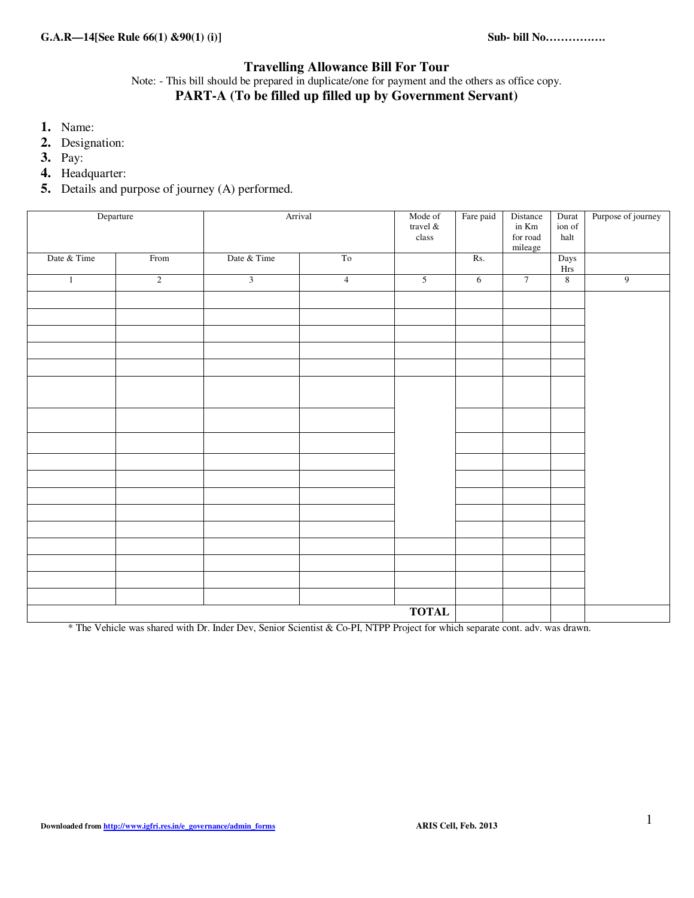### **Travelling Allowance Bill For Tour**

Note: - This bill should be prepared in duplicate/one for payment and the others as office copy. **PART-A (To be filled up filled up by Government Servant)**

- **1.** Name:
- **2.** Designation:
- **3.** Pay:
- **4.** Headquarter:
- **5.** Details and purpose of journey (A) performed.

| Departure    |                |                | Arrival        | Mode of<br>travel $\&$<br>$\operatorname{class}$ | Fare paid  | Distance<br>in Km<br>$\,$ for road $\,$<br>mileage | Durat<br>ion of<br>$\operatorname{halt}$   | Purpose of journey |
|--------------|----------------|----------------|----------------|--------------------------------------------------|------------|----------------------------------------------------|--------------------------------------------|--------------------|
| Date & Time  | From           | Date & Time    | To             |                                                  | Rs.        |                                                    | ${\rm \bf \underline{Days} \atop \bf Hrs}$ |                    |
| $\mathbf{1}$ | $\overline{2}$ | $\overline{3}$ | $\overline{4}$ | $\overline{5}$                                   | $\sqrt{6}$ | $\overline{7}$                                     | $\,8\,$                                    | $\overline{9}$     |
|              |                |                |                |                                                  |            |                                                    |                                            |                    |
|              |                |                |                |                                                  |            |                                                    |                                            |                    |
|              |                |                |                |                                                  |            |                                                    |                                            |                    |
|              |                |                |                |                                                  |            |                                                    |                                            |                    |
|              |                |                |                |                                                  |            |                                                    |                                            |                    |
|              |                |                |                |                                                  |            |                                                    |                                            |                    |
|              |                |                |                |                                                  |            |                                                    |                                            |                    |
|              |                |                |                |                                                  |            |                                                    |                                            |                    |
|              |                |                |                |                                                  |            |                                                    |                                            |                    |
|              |                |                |                |                                                  |            |                                                    |                                            |                    |
|              |                |                |                |                                                  |            |                                                    |                                            |                    |
|              |                |                |                |                                                  |            |                                                    |                                            |                    |
|              |                |                |                |                                                  |            |                                                    |                                            |                    |
|              |                |                |                |                                                  |            |                                                    |                                            |                    |
|              |                |                |                |                                                  |            |                                                    |                                            |                    |
|              |                |                |                | <b>TOTAL</b>                                     |            |                                                    |                                            |                    |

\* The Vehicle was shared with Dr. Inder Dev, Senior Scientist & Co-PI, NTPP Project for which separate cont. adv. was drawn.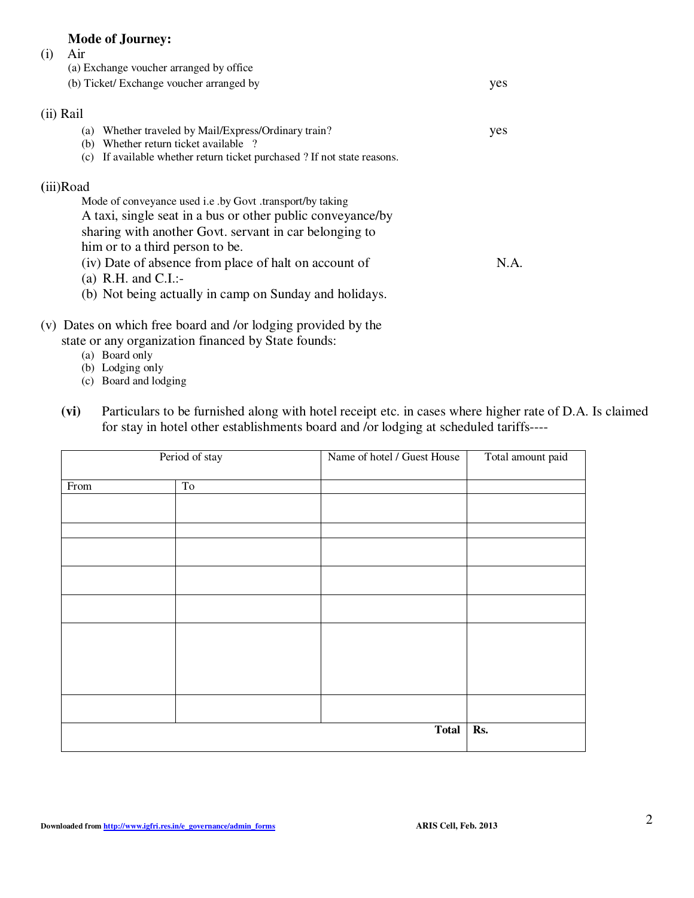## **Mode of Journey:**

| (i) | Air                                                                         |      |
|-----|-----------------------------------------------------------------------------|------|
|     | (a) Exchange voucher arranged by office                                     |      |
|     | (b) Ticket/ Exchange voucher arranged by                                    | yes  |
|     | (ii) Rail                                                                   |      |
|     | Whether traveled by Mail/Express/Ordinary train?<br>(a)                     | yes  |
|     | Whether return ticket available ?<br>(b)                                    |      |
|     | If available whether return ticket purchased ? If not state reasons.<br>(c) |      |
|     | (iii)Road                                                                   |      |
|     | Mode of conveyance used i.e. by Govt .transport/by taking                   |      |
|     | A taxi, single seat in a bus or other public conveyance/by                  |      |
|     | sharing with another Govt. servant in car belonging to                      |      |
|     | him or to a third person to be.                                             |      |
|     | (iv) Date of absence from place of halt on account of                       | N.A. |
|     | (a) R.H. and C.I.:-                                                         |      |
|     |                                                                             |      |
|     | (b) Not being actually in camp on Sunday and holidays.                      |      |
|     |                                                                             |      |

- (v) Dates on which free board and /or lodging provided by the state or any organization financed by State founds:
	- (a) Board only
	- (b) Lodging only
	- (c) Board and lodging
	- **(vi)** Particulars to be furnished along with hotel receipt etc. in cases where higher rate of D.A. Is claimed for stay in hotel other establishments board and /or lodging at scheduled tariffs----

|      | Period of stay | Name of hotel / Guest House | Total amount paid |
|------|----------------|-----------------------------|-------------------|
| From | To             |                             |                   |
|      |                |                             |                   |
|      |                |                             |                   |
|      |                |                             |                   |
|      |                |                             |                   |
|      |                |                             |                   |
|      |                |                             |                   |
|      |                |                             |                   |
|      |                |                             |                   |
|      |                |                             |                   |
|      |                |                             |                   |
|      |                |                             |                   |
|      |                | <b>Total</b>                | Rs.               |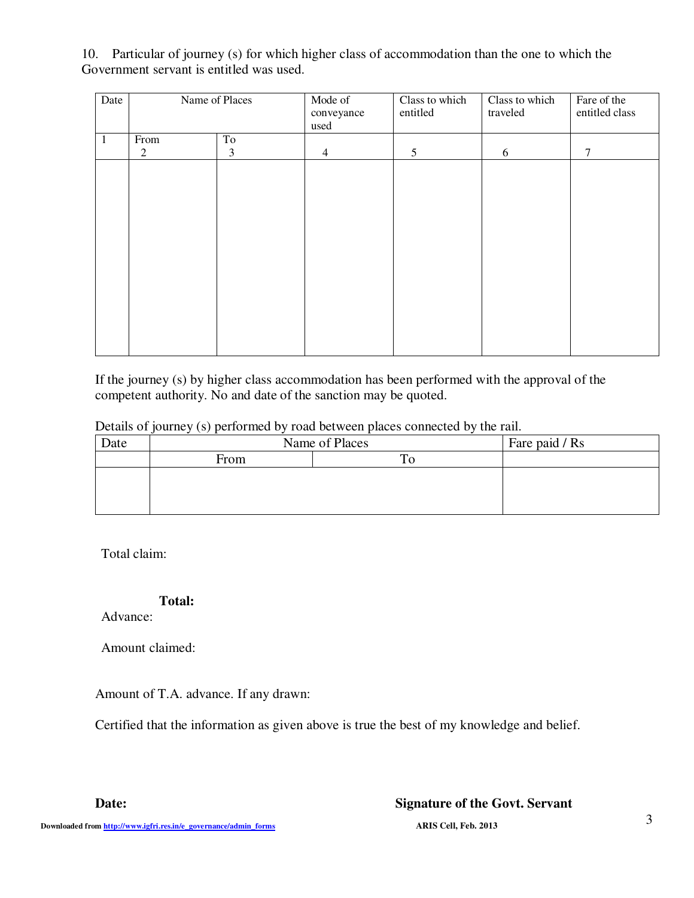10. Particular of journey (s) for which higher class of accommodation than the one to which the Government servant is entitled was used.

| Date | Name of Places |    | Mode of<br>conveyance<br>used | Class to which<br>entitled | Class to which<br>traveled | Fare of the<br>entitled class |
|------|----------------|----|-------------------------------|----------------------------|----------------------------|-------------------------------|
| 1    | From           | To |                               |                            |                            |                               |
|      | $\overline{c}$ | 3  | $\overline{4}$                | 5                          | 6                          | 7                             |
|      |                |    |                               |                            |                            |                               |
|      |                |    |                               |                            |                            |                               |
|      |                |    |                               |                            |                            |                               |
|      |                |    |                               |                            |                            |                               |
|      |                |    |                               |                            |                            |                               |
|      |                |    |                               |                            |                            |                               |
|      |                |    |                               |                            |                            |                               |
|      |                |    |                               |                            |                            |                               |
|      |                |    |                               |                            |                            |                               |
|      |                |    |                               |                            |                            |                               |
|      |                |    |                               |                            |                            |                               |
|      |                |    |                               |                            |                            |                               |
|      |                |    |                               |                            |                            |                               |

If the journey (s) by higher class accommodation has been performed with the approval of the competent authority. No and date of the sanction may be quoted.

| Details of journey (s) performed by road between places connected by the rail. |  |  |  |  |  |
|--------------------------------------------------------------------------------|--|--|--|--|--|
|--------------------------------------------------------------------------------|--|--|--|--|--|

| Date | Name of Places | Fare paid / Rs |  |
|------|----------------|----------------|--|
|      | From           |                |  |
|      |                |                |  |
|      |                |                |  |
|      |                |                |  |

Total claim:

## **Total:**

Advance:

Amount claimed:

Amount of T.A. advance. If any drawn:

Certified that the information as given above is true the best of my knowledge and belief.

### **Date: Signature of the Govt. Servant**